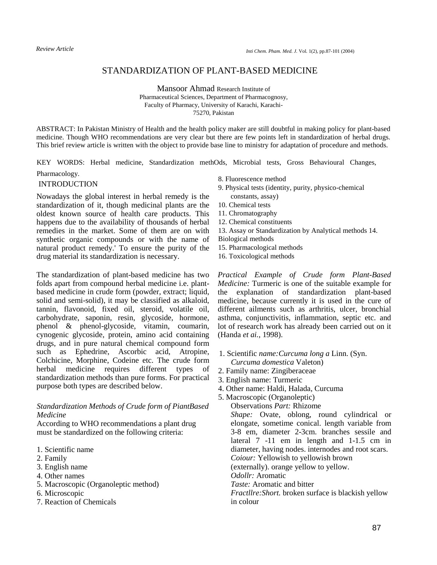# STANDARDIZATION OF PLANT-BASED MEDICINE

Mansoor Ahmad Research Institute of Pharmaceutical Sciences, Department of Pharmacognosy, Faculty of Pharmacy, University of Karachi, Karachi-75270, Pakistan

ABSTRACT: In Pakistan Ministry of Health and the health policy maker are still doubtful in making policy for plant-based medicine. Though WHO recommendations are very clear but there are few points left in standardization of herbal drugs. This brief review article is written with the object to provide base line to ministry for adaptation of procedure and methods.

KEY WORDS: Herbal medicine, Standardization methOds, Microbial tests, Gross Behavioural Changes,

Pharmacology.

## INTRODUCTION

Nowadays the global interest in herbal remedy is the standardization of it, though medicinal plants are the oldest known source of health care products. This happens due to the availability of thousands of herbal remedies in the market. Some of them are on with synthetic organic compounds or with the name of natural product remedy.' To ensure the purity of the drug material its standardization is necessary.

The standardization of plant-based medicine has two folds apart from compound herbal medicine i.e. plantbased medicine in crude form (powder, extract; liquid, solid and semi-solid), it may be classified as alkaloid, tannin, flavonoid, fixed oil, steroid, volatile oil, carbohydrate, saponin, resin, glycoside, hormone, phenol & phenol-glycoside, vitamin, coumarin, cynogenic glycoside, protein, amino acid containing drugs, and in pure natural chemical compound form such as Ephedrine, Ascorbic acid, Atropine, Colchicine, Morphine, Codeine etc. The crude form herbal medicine requires different types of standardization methods than pure forms. For practical purpose both types are described below.

# *Standardization Methods of Crude form of PiantBased Medicine*

According to WHO recommendations a plant drug must be standardized on the following criteria:

- 1. Scientific name
- 2. Family
- 3. English name
- 4. Other names
- 5. Macroscopic (Organoleptic method)
- 6. Microscopic
- 7. Reaction of Chemicals
- 8. Fluorescence method
- 9. Physical tests (identity, purity, physico-chemical constants, assay)
- 10. Chemical tests
- 11. Chromatography
- 12. Chemical constituents
- 13. Assay or Standardization by Analytical methods 14.
- Biological methods
- 15. Pharmacological methods
- 16. Toxicological methods

*Practical Example of Crude form Plant-Based Medicine:* Turmeric is one of the suitable example for the explanation of standardization plant-based medicine, because currently it is used in the cure of different ailments such as arthritis, ulcer, bronchial asthma, conjunctivitis, inflammation, septic etc. and lot of research work has already been carried out on it (Handa *et ai.,* 1998).

- 1. Scientific *name:Curcuma long a* Linn. (Syn. *Curcuma domestica* Valeton)
- 2. Family name: Zingiberaceae
- 3. English name: Turmeric
- 4. Other name: Haldi, Halada, Curcuma
- 5. Macroscopic (Organoleptic) Observations *Part:* Rhizome *Shape:* Ovate, oblong, round cylindrical or elongate, sometime conical. length variable from 3-8 em, diameter 2-3cm. branches sessile and lateral 7 -11 em in length and 1-1.5 cm in diameter, having nodes. internodes and root scars. *Coiour:* Yellowish to yellowish brown (externally). orange yellow to yellow. *Odollr:* Aromatic

*Taste:* Aromatic and bitter

*Fractllre:Short.* broken surface is blackish yellow in colour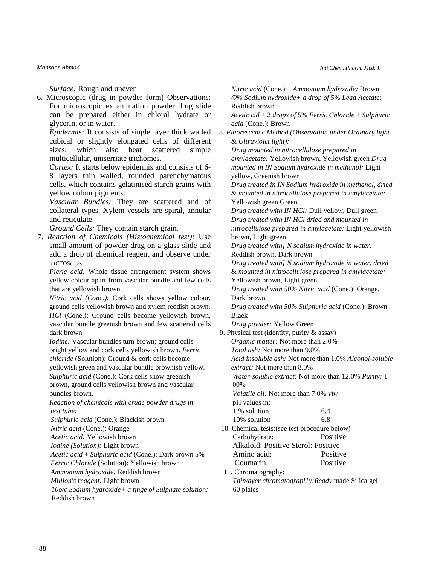#### *Mansoor Ahmad*

*Inti Chem. Pharm. Med.* J.

*Surface:* Rough and uneven

6. Microscopic (drug in powder form) Observations: For microscopic ex amination powder drug slide can be prepared either in chloral hydrate or glycerin, or in water.

*Epidermis:* It consists of single layer thick walled cubical or slightly elongated cells of different sizes, which also bear scattered simple multicellular, uniserriate trichomes.

*Cortex:* It starts below epidermis and consists of 6- 8 layers thin walled, rounded parenchymatous cells, which contains gelatinised starch grains with yellow colour pigments.

*Vascular Bundles:* They are scattered and of collateral types. Xylem vessels are spiral, annular and reticulate.

*Ground Cells:* They contain starch grain.

7. *Reaction of Chemicals (Histochemical test):* Use small amount of powder drug on a glass slide and add a drop of chemical reagent and observe under mtCTOScope.

*Picric acid:* Whole tissue arrangement system shows yellow colour apart from vascular bundle and few cells that are yellowish brown.

*Nitric acid (Conc.):* Cork cells shows yellow colour, ground cells yellowish brown and xylem reddish brown. *HCl* (Cone.): Ground cells become yellowish brown, vascular bundle greenish brown and few scattered cells dark brown.

*Iodine:* Vascular bundles turn brown; ground cells bright yellow and cork cells yellowish brown. *Ferric chloride* (Solution): Ground & cork cells become yellowish green and vascular bundle brownish yellow. *Sulphuric acid* (Cone.): Cork cells show greenish brown, ground cells yellowish brown and vascular bundles brown.

*Reaction of chemicals with crude powder drugs in test tube:* 

*Sulphuric acid* (Cone.): Blackish brown

*Nitric acid* (Cone.): Orange

*Acetic acid:* Yellowish brown

*Iodine (Solution):* Light brown

*Acetic acid* + *Sulphuric acid* (Cone.): Dark brown 5% *Ferric Chloride* (Solution): Yellowish brown

*Ammonium hydroxide:* Reddish brown

*Million's reagent:* Light brown

*10o/c Sodium hydroxide+ a tjnge of Sulphate solution:*  Reddish brown

*Nitric acid* (Cone.) + *Ammonium hydroxide:* Brown */0% Sodium hydroxide+ a drop of* 5% *Lead Acetate:*  Reddish brown *Acetic cid* + 2 *drops of* 5% *Ferric Chloride* + *Sulphuric acid* (Cone.): Brown 8. *Fluorescence Method (Observation under Ordinary light*  & *Ultraviolet light): Drug mounted in nitrocellulose prepared in amylacetate:* Yellowish brown, Yellowish green *Drug mounted in IN Sodium hydroxide in methanol:* Light yellow, Greenish brown *Drug treated in IN Sodium hydroxide in methanol, dried*  & *mounted in nitrocellulose prepared in amylacetate:*  Yellowish green Green *Drug treated with IN HCl:* Dull yellow, Dull green *Drug treated with IN HCl dried and mounted in nitrocellulose prepared in amylacetate:* Light yellowish brown, Light green *Drug treated with] N sodium hydroxide in water:*  Reddish brown, Dark brown *Drug treated with] N sodium hydroxide in water, dried*  & *mounted in nitrocellulose prepared in amylacetate:*  Yellowish brown, Light green *Drug treated with 50% Nitric acid* (Cone.): Orange, Dark brown *Drug treated with 50% Sulphuric acid* (Cone.): Brown Blaek *Drug powder:* Yellow Green 9. Physical test (identity, purity & assay) *Organic matter:* Not more than 2.0% *Total ash:* Not more than 9.0% *Acid insoluble ash:* Not more than 1.0% *Alcohol-soluble extract:* Not more than 8.0%

*Water-soluble extract:* Not more than 12.0% *Purity:* 1 00%

*Volatile oil:* Not more than 7.0% *vlw* 

| pH values in: |     |
|---------------|-----|
| 1 % solution  | 6.4 |
| 10% solution  | 6.8 |

- 10. Chemical tests:(see test procedure below) Carbohydrate: Positive Alkaloid: Positive Sterol: Positive Amino acid: Positive Coumarin: . Positive
- 11. Chromatography:  *Thin/ayer chromatograpl1y:Ready* made Silica gel 60 plates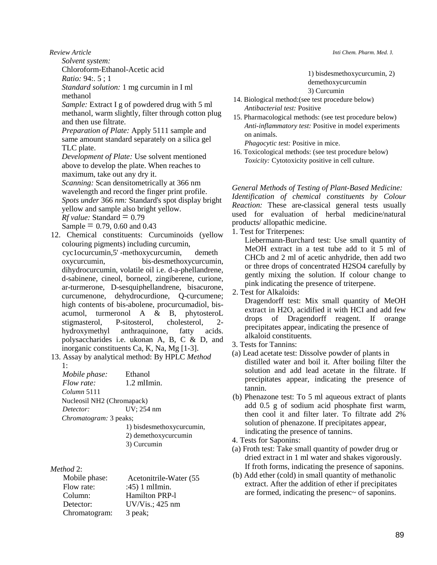*Review Article*

*Solvent system:* 

Chloroform-Ethanol-Acetic acid

 $Ratio: 94: 5 \cdot 1$ 

*Standard solution:* 1 mg curcumin in I ml methanol

*Sample:* Extract I g of powdered drug with 5 ml methanol, warm slightly, filter through cotton plug and then use filtrate.

*Preparation of Plate:* Apply 5111 sample and same amount standard separately on a silica gel TLC plate.

*Development of Plate:* Use solvent mentioned above to develop the plate. When reaches to maximum, take out any dry it.

*Scanning:* Scan densitometrically at 366 nm wavelength and record the finger print profile. *Spots under* 366 *nm:* Standard's spot display bright yellow and sample also bright yellow.  $Rf$  *value:* Standard  $= 0.79$ Sample  $= 0.79, 0.60$  and 0.43

12. Chemical constituents: Curcuminoids (yellow colouring pigments) including curcumin, cyc1ocurcumin,5' -methoxycurcumin, demeth oxycurcumin, bis-desmethoxycurcumin, dihydrocurcumin, volatile oil i.e. d-a-phellandrene, d-sabinene, cineol, borneol, zingiberene, curione, ar-turmerone, D-sesquiphellandrene, bisacurone, curcumenone, dehydrocurdione, Q-curcumene; high contents of bis-abolene, procurcumadiol, bisacumol, turmeronol A & B, phytosteroL stigmasterol, P-sitosterol, cholesterol, 2 hydroxymethyl anthraquinone, fatty acids. polysaccharides i.e. ukonan A, B, C & D, and inorganic constituents Ca, K, Na, Mg [1-3].

13. Assay by analytical method: By HPLC *Method* 

| $1 \cdot$                              |                    |
|----------------------------------------|--------------------|
| Mobile phase:                          | Ethanol            |
| Flow rate:                             | $1.2$ mlImin.      |
| Column 5111                            |                    |
| Nucleosil NH <sub>2</sub> (Chromapack) |                    |
| Detector:                              | UV; 254 nm         |
| Chromatogram: 3 peaks;                 |                    |
|                                        | $1 \&$ hiadacumhan |

- 1) bisdesmethoxycurcumin,
- 2) demethoxycurcumin
- 3) Curcumin

# *Method* 2:

| Mobile phase: | Acetonitrile-Water (55 |
|---------------|------------------------|
| Flow rate:    | $:45)$ 1 mlImin.       |
| Column:       | <b>Hamilton PRP-1</b>  |
| Detector:     | $UV/V$ is.; 425 nm     |
| Chromatogram: | 3 peak;                |

*Inti Chem. Pharm. Med.* J.

1) bisdesmethoxycurcumin, 2) demethoxycurcumin 3) Curcumin

- 14. Biological method:(see test procedure below)  *Antibacterial test:* Positive
- 15. Pharmacological methods: (see test procedure below) *Anti-inflammatory test:* Positive in model experiments on animals.

*Phagocytic test:* Positive in mice.

16. Toxicological methods: (see test procedure below)  *Toxicity:* Cytotoxicity positive in cell culture.

*General Methods of Testing of Plant-Based Medicine: Identification of chemical constituents by Colour Reaction:* These are-classical general tests usually used for evaluation of herbal medicine/natural products/ allopathic medicine.

1. Test for Triterpenes:

Liebermann-Burchard test: Use small quantity of MeOH extract in a test tube add to it 5 ml of CHCb and 2 ml of acetic anhydride, then add two or three drops of concentrated H2SO4 carefully by gently mixing the solution. If colour change to pink indicating the presence of triterpene.

2. Test for Alkaloids:

Dragendorff test: Mix small quantity of MeOH extract in H2O, acidified it with HCI and add few drops of Dragendorff reagent. If orange precipitates appear, indicating the presence of alkaloid constituents.

- 3. Tests for Tannins:
- (a) Lead acetate test: Dissolve powder of plants in distilled water and boil it. After boiling filter the solution and add lead acetate in the filtrate. If precipitates appear, indicating the presence of tannin.
- (b) Phenazone test: To 5 ml aqueous extract of plants add 0.5 g of sodium acid phosphate first warm, then cool it and filter later. To filtrate add 2% solution of phenazone. If precipitates appear, indicating the presence of tannins.
- 4. Tests for Saponins:
- (a) Froth test: Take small quantity of powder drug or dried extract in 1 ml water and shakes vigorously. If froth forms, indicating the presence of saponins.
- (b) Add ether (cold) in small quantity of methanolic extract. After the addition of ether if precipitates are formed, indicating the presenc~ of saponins.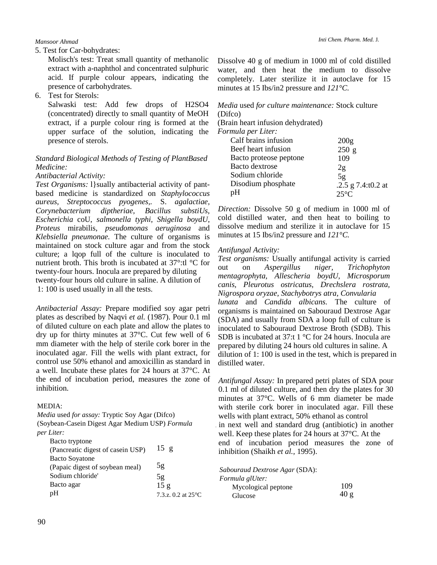#### *Mansoor Ahmad*

5. Test for Car-bohydrates:

Molisch's test: Treat small quantity of methanolic extract with a-naphthol and concentrated sulphuric acid. If purple colour appears, indicating the presence of carbohydrates.

6. Test for Sterols:

Salwaski test: Add few drops of H2SO4 (concentrated) directly to small quantity of MeOH extract, if a purple colour ring is formed at the upper surface of the solution, indicating the presence of sterols.

## *Standard Biological Methods of Testing of PlantBased Medicine:*

## *Antibacterial Activity:*

*Test Organisms:* l}sually antibacterial activity of pantbased medicine is standardized on *Staphylococcus aureus, Streptococcus pyogenes,.* S. *agalactiae, Corynebacterium diptheriae, Bacillus substiUs, Escherichia* coU, *salmonella typhi, Shigella boydU, Proteus* mirabilis, *pseudomonas aeruginosa* and *Klebsiella pneumonae.* The culture of organisms is maintained on stock culture agar and from the stock culture; a lqop full of the culture is inoculated to nutrient broth. This broth is incubated at 37°:tl °C for twenty-four hours. Inocula are prepared by diluting twenty-four hours old culture in saline. A dilution of 1: 100 is used usually in all the tests.

*Antibacterial Assay:* Prepare modified soy agar petri plates as described by Naqvi *et al.* (1987). Pour 0.1 ml of diluted culture on each plate and allow the plates to dry up for thirty minutes at 37°C. Cut few well of 6 mm diameter with the help of sterile cork borer in the inoculated agar. Fill the wells with plant extract, for control use 50% ethanol and amoxicillin as standard in a well. Incubate these plates for 24 hours at 37°C. At the end of incubation period, measures the zone of inhibition.

#### MEDIA:

*Media* used *for assay:* Tryptic Soy Agar (Difco) (Soybean-Casein Digest Agar Medium USP) *Formula per Liter:*

Bacto tryptone

| (Pancreatic digest of casein USP) | $15 \text{ g}$                 |
|-----------------------------------|--------------------------------|
| <b>Bacto Soyatone</b>             |                                |
| (Papaic digest of soybean meal)   | 5g                             |
| Sodium chloride'                  | 5g                             |
| Bacto agar                        | 15g                            |
| pH                                | 7.3.z. $0.2$ at $25^{\circ}$ C |
|                                   |                                |

Dissolve 40 g of medium in 1000 ml of cold distilled water, and then heat the medium to dissolve completely. Later sterilize it in autoclave for 15 minutes at 15 Ibs/in2 pressure and *121°C.* 

# *Media* used *for culture maintenance:* Stock culture (Difco)

(Brain heart infusion dehydrated)

*Formula per Liter:*

| Calf brains infusion   | 200 <sub>g</sub>     |
|------------------------|----------------------|
| Beef heart infusion    | 250 g                |
| Bacto proteose peptone | 109                  |
| Bacto dextrose         | 2g                   |
| Sodium chloride        | 5g                   |
| Disodium phosphate     | .2.5 g $7.4:10.2$ at |
| pΗ                     | $25^{\circ}C$        |

*Direction:* Dissolve 50 g of medium in 1000 ml of cold distilled water, and then heat to boiling to dissolve medium and sterilize it in autoclave for 15 minutes at 15 Ibs/in2 pressure and *121°C.* 

#### *Antifungal Activity:*

*Test organisms:* Usually antifungal activity is carried out on *Aspergillus niger, Trichophyton mentagrophyta, Allescheria boydU, Microsporum canis, Pleurotus ostricatus, Drechslera rostrata, Nigrospora oryzae, Stachybotrys atra, Convularia lunata* and *Candida albicans.* The culture of organisms is maintained on Sabouraud Dextrose Agar (SDA) and usually from SDA a loop full of culture is inoculated to Sabouraud Dextrose Broth (SDB). This SDB is incubated at 37:t 1 °C for 24 hours. Inocula are prepared by diluting 24 hours old cultures in saline. A dilution of 1: 100 is used in the test, which is prepared in distilled water.

*Antifungal Assay:* In prepared petri plates of SDA pour 0.1 ml of diluted culture, and then dry the plates for 30 minutes at 37°C. Wells of 6 mm diameter be made with sterile cork borer in inoculated agar. Fill these wells with plant extract, 50% ethanol as control . in next well and standard drug (antibiotic) in another well. Keep these plates for 24 hours at 37°C. At the end of incubation period measures the zone of inhibition (Shaikh *et al.,* 1995).

*Sabouraud Dextrose Agar* (SDA):

| Formula glUter: |  |
|-----------------|--|
|-----------------|--|

| Mycological peptone | 109  |
|---------------------|------|
| Glucose             | 40 g |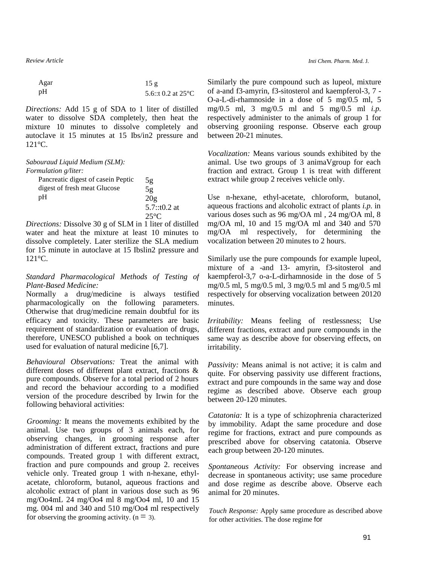*Review Article*

| Agar | 15g                          |
|------|------------------------------|
| pН   | 5.6::t 0.2 at $25^{\circ}$ C |

*Directions:* Add 15 g of SDA to 1 liter of distilled water to dissolve SDA completely, then heat the mixture 10 minutes to dissolve completely and autoclave it 15 minutes at 15 Ibs/in2 pressure and 121°C.

| Sabouraud Liquid Medium (SLM):     |                |
|------------------------------------|----------------|
| <i>Formulation g/liter:</i>        |                |
| Pancreatic digest of casein Peptic | 5g             |
| digest of fresh meat Glucose       | 5g             |
| pH                                 | 20g            |
|                                    | $5.7::t0.2$ at |
|                                    | $25^{\circ}C$  |

*Directions:* Dissolve 30 g of SLM in 1 liter of distilled water and heat the mixture at least 10 minutes to dissolve completely. Later sterilize the SLA medium for 15 minute in autoclave at 15 Ibslin2 pressure and 121°C.

## *Standard Pharmacological Methods of Testing of Plant-Based Medicine:*

Normally a drug/medicine is always testified pharmacologically on the following parameters. Otherwise that drug/medicine remain doubtful for its efficacy and toxicity. These parameters are basic requirement of standardization or evaluation of drugs, therefore, UNESCO published a book on techniques used for evaluation of natural medicine [6,7].

*Behavioural Observations:* Treat the animal with different doses of different plant extract, fractions & pure compounds. Observe for a total period of 2 hours and record the behaviour according to a modified version of the procedure described by Irwin for the following behavioral activities:

*Grooming:* It means the movements exhibited by the animal. Use two groups of 3 animals each, for observing changes, in grooming response after administration of different extract, fractions and pure compounds. Treated group 1 with different extract, fraction and pure compounds and group 2. receives vehicle only. Treated group 1 with n-hexane, ethylacetate, chloroform, butanol, aqueous fractions and alcoholic extract of plant in various dose such as 96 mg/Oo4mL 24 mg/Oo4 ml 8 mg/Oo4 ml, 10 and 15 mg. 004 ml and 340 and 510 mg/Oo4 ml respectively for observing the grooming activity.  $(n = 3)$ .

Similarly the pure compound such as lupeol, mixture of a-and f3-amyrin, f3-sitosterol and kaempferol-3, 7 - O-a-L-di-rhamnoside in a dose of 5 mg/0.5 ml, 5 mg/0.5 ml, 3 mg/0.5 ml and 5 mg/0.5 ml *i.p.*  respectively administer to the animals of group 1 for observing grooniing response. Observe each group between 20-21 minutes.

*Vocalization:* Means various sounds exhibited by the animal. Use two groups of 3 animaVgroup for each fraction and extract. Group 1 is treat with different extract while group 2 receives vehicle only.

Use n-hexane, ethyl-acetate, chloroform, butanol, aqueous fractions and alcoholic extract of plants *i.p.* in various doses such as 96 mg/OA ml , 24 mg/OA ml, 8 mg/OA ml, 10 and 15 mg/OA ml and 340 and 570 mg/OA ml respectively, for determining the vocalization between 20 minutes to 2 hours.

Similarly use the pure compounds for example lupeol, mixture of a -and 13- amyrin, f3-sitosterol and kaempferol-3,7 o-a-L-dirhamnoside in the dose of 5 mg/0.5 ml, 5 mg/0.5 ml, 3 mg/0.5 ml and 5 mg/0.5 ml respectively for observing vocalization between 20120 minutes.

*Irritability:* Means feeling of restlessness; Use different fractions, extract and pure compounds in the same way as describe above for observing effects, on irritability.

*Passivity:* Means animal is not active; it is calm and quite. For observing passivity use different fractions, extract and pure compounds in the same way and dose regime as described above. Observe each group between 20-120 minutes.

*Catatonia:* It is a type of schizophrenia characterized by immobility. Adapt the same procedure and dose regime for fractions, extract and pure compounds as prescribed above for observing catatonia. Observe each group between 20-120 minutes.

*Spontaneous Activity:* For observing increase and decrease in spontaneous activity; use same procedure and dose regime as describe above. Observe each animal for 20 minutes.

*Touch Response:* Apply same procedure as described above for other activities. The dose regime for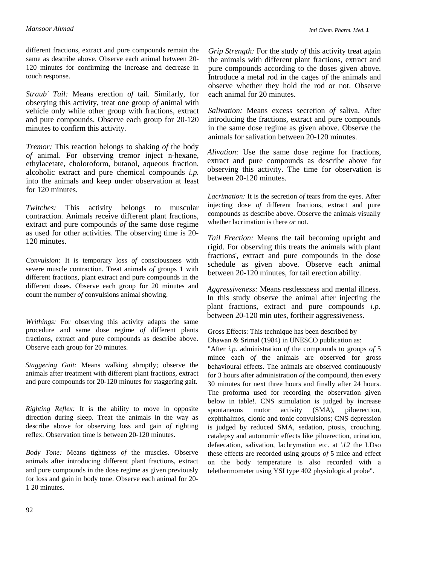different fractions, extract and pure compounds remain the same as describe above. Observe each animal between 20- 120 minutes for confirming the increase and decrease in touch response.

*Straub' Tail:* Means erection *of* tail. Similarly, for obserying this activity, treat one group *of* animal with vehicle only while other group with fractions, extract and pure compounds. Observe each group for 20-120 minutes to confirm this activity.

*Tremor:* This reaction belongs to shaking *of* the body *of* animal. For observing tremor inject n-hexane, ethylacetate, choloroform, butanol, aqueous fraction, alcoholic extract and pure chemical compounds *i.p.*  into the animals and keep under observation at least for 120 minutes.

*Twitches:* This activity belongs to muscular contraction. Animals receive different plant fractions, extract and pure compounds *of* the same dose regime as used for other activities. The observing time is 20- 120 minutes.

*Convulsion:* It is temporary loss *of* consciousness with severe muscle contraction. Treat animals *of* groups 1 with different fractions, plant extract and pure compounds in the different doses. Observe each group for 20 minutes and count the number *of* convulsions animal showing.

*Writhings:* For observing this activity adapts the same procedure and same dose regime *of* different plants fractions, extract and pure compounds as describe above. Observe each group for 20 minutes.

*Staggering Gait:* Means walking abruptly; observe the animals after treatment with different plant fractions, extract and pure compounds for 20-120 minutes for staggering gait.

*Righting Reflex:* It is the ability to move in opposite direction during sleep. Treat the animals in the way as describe above for observing loss and gain *of* righting reflex. Observation time is between 20-120 minutes.

*Body Tone:* Means tightness *of* the muscles. Observe animals after introducing different plant fractions, extract and pure compounds in the dose regime as given previously for loss and gain in body tone. Observe each animal for 20- 1 20 minutes.

*Grip Strength:* For the study *of* this activity treat again the animals with different plant fractions, extract and pure compounds according to the doses given above. Introduce a metal rod in the cages *of* the animals and observe whether they hold the rod or not. Observe each animal for 20 minutes.

*Salivation:* Means excess secretion *of* saliva. After introducing the fractions, extract and pure compounds in the same dose regime as given above. Observe the animals for salivation between 20-120 minutes.

*Alivation:* Use the same dose regime for fractions, extract and pure compounds as describe above for observing this activity. The time for observation is between 20-120 minutes.

*Lacrimation:* It is the secretion *of* tears from the eyes. After injecting dose *of* different fractions, extract and pure compounds as describe above. Observe the animals visually whether lacrimation is there *or* not.

*Tail Erection:* Means the tail becoming upright and rigid. For observing this treats the animals with plant fractions', extract and pure compounds in the dose schedule as given above. Observe each animal between 20-120 minutes, for tail erection ability.

*Aggressiveness:* Means restlessness and mental illness. In this study observe the animal after injecting the plant fractions, extract and pure compounds *i.p.*  between 20-120 min utes, fortheir aggressiveness.

Gross Effects: This technique has been described by Dhawan & Srimal (1984) in UNESCO publication as:

"After *i.p.* administration *of* the compounds to groups *of* 5 mince each *of* the animals are observed for gross behavioural effects. The animals are observed continuously for 3 hours after administration *of* the compound, then every 30 minutes for next three hours and finally after 24 hours. The proforma used for recording the observation given below in table!. CNS stimulation is judged by increase spontaneous motor activity (SMA), piloerection, exphthalmos, clonic and tonic convulsions; CNS depression is judged by reduced SMA, sedation, ptosis, crouching, catalepsy and autonomic effects like piloerection, urination, defaecation, salivation, lachrymation etc. at *\12* the LDso these effects are recorded using groups *of* 5 mice and effect on the body temperature is also recorded with a telethermometer using YSI type 402 physiological probe".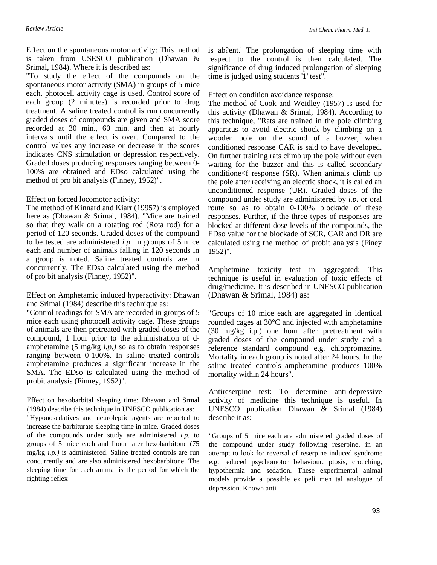Effect on the spontaneous motor activity: This method is taken from USESCO publication (Dhawan & Srimal, 1984). Where it is described as:

"To study the effect of the compounds on the spontaneous motor activity (SMA) in groups of 5 mice each, photocell activity cage is used. Control score of each group (2 minutes) is recorded prior to drug treatment. A saline treated control is run concurrently graded doses of compounds are given and SMA score recorded at 30 min., 60 min. and then at hourly intervals until the effect is over. Compared to the control values any increase or decrease in the scores indicates CNS stimulation or depression respectively. Graded doses producing responses ranging between 0- 100% are obtained and EDso calculated using the method of pro bit analysis (Finney, 1952)".

## Effect on forced locomotor activity:

The method of Kinnard and Kiarr (19957) is employed here as (Dhawan & Srimal, 1984). "Mice are trained so that they walk on a rotating rod (Rota rod) for a period of 120 seconds. Graded doses of the compound to be tested are administered *i.p.* in groups of 5 mice each and number of animals falling in 120 seconds in a group is noted. Saline treated controls are in concurrently. The EDso calculated using the method of pro bit analysis (Finney, 1952)".

### Effect on Amphetamic induced hyperactivity: Dhawan and Srimal (1984) describe this technique as:

"Control readings for SMA are recorded in groups of 5 mice each using photocell activity cage. These groups of animals are then pretreated with graded doses of the compound, 1 hour prior to the administration of damphetamine (5 mg/kg *i.p.)* so as to obtain responses ranging between 0-100%. In saline treated controls amphetamine produces a significant increase in the SMA. The EDso is calculated using the method of probit analysis (Finney, 1952)".

Effect on hexobarbital sleeping time: Dhawan and Srmal (1984) describe this technique in UNESCO publication as:

"Hyponosedatives and neuroleptic agents are reported to increase the barbiturate sleeping time in mice. Graded doses of the compounds under study are administered *i.p.* to groups of 5 mice each and Ihour later hexobarbitone (75 mg/kg *i.p.)* is administered. Saline treated controls are run concurrently and are also administered hexobarbitone. The sleeping time for each animal is the period for which the righting reflex

is ab?ent.' The prolongation of sleeping time with respect to the control is then calculated. The significance of drug induced prolongation of sleeping time is judged using students '1' test".

Effect on condition avoidance response:

The method of Cook and Weidley (1957) is used for this activity (Dhawan & Srimal, 1984). According to this technique, "Rats are trained in the pole climbing apparatus to avoid electric shock by climbing on a wooden pole on the sound of a buzzer, when conditioned response CAR is said to have developed. On further training rats climb up the pole without even waiting for the buzzer and this is called secondary conditione<f response (SR). When animals climb up the pole after receiving an electric shock, it is called an unconditioned response (UR). Graded doses of the compound under study are administered by *i.p.* or oral route so as to obtain 0-100% blockade of these responses. Further, if the three types of responses are blocked at different dose levels of the compounds, the EDso value for the blockade of SCR, CAR and DR are calculated using the method of probit analysis (Finey 1952)".

Amphetmine toxicity test in aggregated: This technique is useful in evaluation of toxic effects of drug/medicine. It is described in UNESCO publication (Dhawan & Srimal, 1984) as: .

"Groups of 10 mice each are aggregated in identical rounded cages at 30°C and injected with amphetamine (30 mg/kg i.p.) one hour after pretreatment with graded doses of the compound under study and a reference standard compound e.g. chlorpromazine. Mortality in each group is noted after 24 hours. In the saline treated controls amphetamine produces 100% mortality within 24 hours".

Antireserpine test: To determine anti-depressive activity of medicine this technique is useful. In UNESCO publication Dhawan & Srimal (1984) describe it as:

"Groups of 5 mice each are administered graded doses of the compound under study following reserpine, in an attempt to look for reversal of reserpine induced syndrome e.g. reduced psychomotor behaviour. ptosis, crouching, hypothermia and sedation. These experimental animal models provide a possible ex peli men tal analogue of depression. Known anti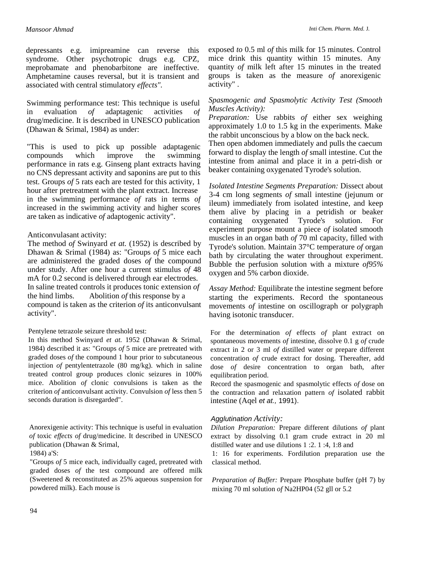*Inti Chem. Pharm. Med.* J.

depressants e.g. imipreamine can reverse this syndrome. Other psychotropic drugs e.g. CPZ, meprobamate and phenobarbitone are ineffective. Amphetamine causes reversal, but it is transient and associated with central stimulatory *effects".*

Swimming performance test: This technique is useful in evaluation *of* adaptagenic activities *of*  drug/medicine. It is described in UNESCO publication (Dhawan & Srimal, 1984) as under:

"This is used to pick up possible adaptagenic compounds which improve the swimming performance in rats e.g. Ginseng plant extracts having no CNS depressant activity and saponins are put to this test. Groups *of* 5 rats each are tested for this activity, 1 hour after pretreatment with the plant extract. Increase in the swimming performance *of* rats in terms *of*  increased in the swimming activity and higher scores are taken as indicative *of* adaptogenic activity".

#### Anticonvulasant activity:

The method *of* Swinyard *et at.* (1952) is described by Dhawan & Srimal (1984) as: "Groups *of* 5 mice each are administered the graded doses *of* the compound under study. After one hour a current stimulus *of* 48 mA for 0.2 second is delivered through ear electrodes. In saline treated controls it produces tonic extension *of* the hind limbs. Abolition *of* this response by a compound is taken as the criterion *of* its anticonvulsant activity".

#### Pentylene tetrazole seizure threshold test:

In this method Swinyard *et at.* 1952 (Dhawan & Srimal, 1984) described it as: "Groups *of* 5 mice are pretreated with graded doses *of* the compound 1 hour prior to subcutaneous injection *of* pentylentetrazole (80 mg/kg). which in saline treated control group produces clonic seizures in 100% mice. Abolition *of* clonic convulsions is taken as the criterion *of* anticonvulsant activity. Convulsion *of* less then 5 seconds duration is disregarded".

Anorexigenie activity: This technique is useful in evaluation *of* toxic *effects of* drug/medicine. It described in UNESCO publication (Dhawan & Srimal,

1984) a'S:

"Groups *of* 5 mice each, individually caged, pretreated with graded doses *of* the test compound are offered milk (Sweetened & reconstituted as 25% aqueous suspension for powdered milk). Each mouse is

exposed *to* 0.5 ml *of* this milk for 15 minutes. Control mice drink this quantity within 15 minutes. Any quantity *of* milk left after 15 minutes in the treated groups is taken as the measure *of* anorexigenic activity" .

# *Spasmogenic and Spasmolytic Activity Test (Smooth Muscles Activity):*

*Preparation:* Use rabbits *of* either sex weighing approximately 1.0 to 1.5 kg in the experiments. Make the rabbit unconscious by a blow on the back neck.

Then open abdomen immediately and pulls the caecum forward to display the length *of* small intestine. Cut the intestine from animal and place it in a petri-dish or beaker containing oxygenated Tyrode's solution.

*Isolated Intestine Segments Preparation:* Dissect about 3-4 cm long segments *of* small intestine (jejunum or ileum) immediately from isolated intestine, and keep them alive by placing in a petridish or beaker containing oxygenated Tyrode's solution. For experiment purpose mount a piece *of* isolated smooth muscles in an organ bath *of* 70 ml capacity, filled with Tyrode's solution. Maintain 37°C temperature *of* organ bath by circulating the water throughout experiment. Bubble the perfusion solution with a mixture *of95%*  oxygen and 5% carbon dioxide.

*Assay Method:* Equilibrate the intestine segment before starting the experiments. Record the spontaneous movements *of* intestine on oscillograph or polygraph having isotonic transducer.

For the determination *of* effects *of* plant extract on spontaneous movements *of* intestine, dissolve 0.1 g *of* crude extract in 2 or 3 ml *of* distilled water or prepare different concentration *of* crude extract for dosing. Thereafter, add dose *of* desire concentration to organ bath, after equilibration period.

Record the spasmogenic and spasmolytic effects *of* dose on the contraction and relaxation pattern *of* isolated rabbit intestine (Aqel et at., 1991).

#### Agglutination *Activity:*

*Dilution Preparation:* Prepare different dilutions *of* plant extract by dissolving 0.1 gram crude extract in 20 ml distilled water and use dilutions 1 :2. 1 :4, 1:8 and

1: 16 for experiments. Fordilution preparation use the classical method.

*Preparation of Buffer:* Prepare Phosphate buffer (pH 7) by mixing 70 ml solution *of* Na2HP04 (52 gll or 5.2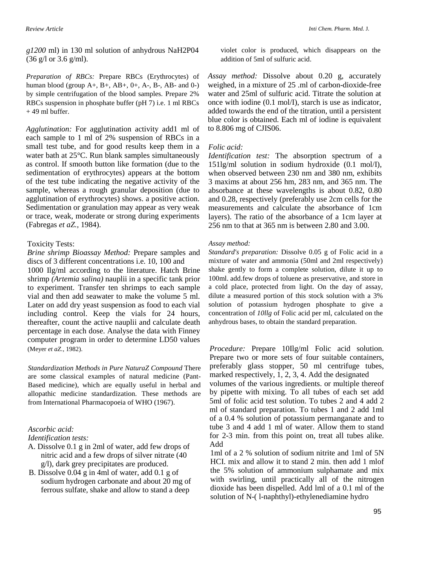*g1200* ml) in 130 ml solution of anhydrous NaH2P04 (36 g/l or 3.6 g/ml).

*Preparation of RBCs:* Prepare RBCs (Erythrocytes) of human blood (group  $A+$ ,  $B+$ ,  $AB+$ ,  $0+$ ,  $A-$ ,  $B-$ ,  $AB-$  and  $0-$ ) by simple centrifugation of the blood samples. Prepare 2% RBCs suspension in phosphate buffer (pH 7) i.e. 1 ml RBCs  $+49$  ml buffer.

*Agglutination:* For agglutination activity add1 ml of each sample to 1 ml of 2% suspension of RBCs in a small test tube, and for good results keep them in a water bath at 25°C. Run blank samples simultaneously as control. If smooth button like formation (due to the sedimentation of erythrocytes) appears at the bottom of the test tube indicating the negative activity of the sample, whereas a rough granular deposition (due to agglutination of erythrocytes) shows. a positive action. Sedimentation or granulation may appear as very weak or trace, weak, moderate or strong during experiments (Fabregas *et aZ.,* 1984).

#### Toxicity Tests:

*Brine shrimp Bioassay Method:* Prepare samples and discs of 3 different concentrations i.e. 10, 100 and 1000 Ilg/ml according to the literature. Hatch Brine shrimp *(Artemia salina)* nauplii in a specific tank prior to experiment. Transfer ten shrimps to each sample vial and then add seawater to make the volume 5 ml. Later on add dry yeast suspension as food to each vial including control. Keep the vials for 24 hours, thereafter, count the active nauplii and calculate death percentage in each dose. Analyse the data with Finney computer program in order to determine LD50 values (Meyer *et aZ.,* 1982).

*Standardization Methods in Pure NaturaZ Compound* There are some classical examples of natural medicine (Pant-Based medicine), which are equally useful in herbal and allopathic medicine standardization. These methods are from International Pharmacopoeia of WHO (1967).

## *Ascorbic acid:*

*Identification tests:*

- A. Dissolve 0.1 g in 2ml of water, add few drops of nitric acid and a few drops of silver nitrate (40 g/l), dark grey precipitates are produced.
- B. Dissolve 0.04 g in 4ml of water, add 0.1 g of sodium hydrogen carbonate and about 20 mg of ferrous sulfate, shake and allow to stand a deep

violet color is produced, which disappears on the addition of 5ml of sulfuric acid.

*Assay method:* Dissolve about 0.20 g, accurately weighed, in a mixture of 25 .ml of carbon-dioxide-free water and 25ml of sulfuric acid. Titrate the solution at once with iodine (0.1 mol/I), starch is use as indicator, added towards the end of the titration, until a persistent blue color is obtained. Each ml of iodine is equivalent to 8.806 mg of CJIS06.

#### *Folic acid:*

*Identification test:* The absorption spectrum of a 151lg/ml solution in sodium hydroxide (0.1 mol/I), when observed between 230 nm and 380 nm, exhibits 3 maxims at about 256 hm, 283 nm, and 365 nm. The absorbance at these wavelengths is about 0.82, 0.80 and 0.28, respectively (preferably use 2cm cells for the measurements and calculate the absorbance of 1cm layers). The ratio of the absorbance of a 1cm layer at 256 nm to that at 365 nm is between 2.80 and 3.00.

#### *Assay method:*

*Standard's preparation:* Dissolve 0.05 g of Folic acid in a mixture of water and ammonia (50ml and 2ml respectively) shake gently to form a complete solution, dilute it up to 100ml. add.few drops of toluene as preservative, and store in a cold place, protected from light. On the day of assay, dilute a measured portion of this stock solution with a 3% solution of potassium hydrogen phosphate to give a concentration of *10llg* of Folic acid per ml, calculated on the anhydrous bases, to obtain the standard preparation.

*Procedure:* Prepare 10Ilg/ml Folic acid solution. Prepare two or more sets of four suitable containers, preferably glass stopper, 50 ml centrifuge tubes, marked respectively, 1, 2, 3, 4. Add the designated

volumes of the various ingredients. or multiple thereof by pipette with mixing. To all tubes of each set add 5ml of folic acid test solution. To tubes 2 and 4 add 2 ml of standard preparation. To tubes 1 and 2 add 1ml of a 0.4 % solution of potassium permanganate and to tube 3 and 4 add 1 ml of water. Allow them to stand for 2-3 min. from this point on, treat all tubes alike. Add

1ml of a 2 % solution of sodium nitrite and 1ml of 5N HCI. mix and allow it to stand 2 min. then add 1 mlof the 5% solution of ammonium sulphamate and mix with swirling, until practically all of the nitrogen dioxide has been dispelled. Add lml of a 0.1 ml of the solution of N-( l-naphthyl)-ethylenediamine hydro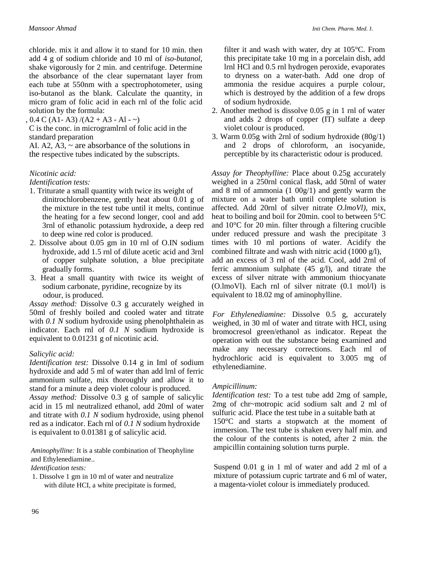chloride. mix it and allow it to stand for 10 min. then add 4 g of sodium chloride and 10 ml of *iso-butanol,*  shake vigorously for 2 min. and centrifuge. Determine the absorbance of the clear supernatant layer from each tube at 550nm with a spectrophotometer, using iso-butanol as the blank. Calculate the quantity, in micro gram of folic acid in each rnl of the folic acid solution by the formula:

 $, 0.4$  C (A1-A3) /(A2 + A3 - A1 - ~)

C is the conc. in microgramlrnl of folic acid in the standard preparation

AI. A2, A3,  $\sim$  are absorbance of the solutions in the respective tubes indicated by the subscripts.

# *Nicotinic acid:*

*Identification tests:*

- 1. Triturate a small quantity with twice its weight of dinitrochlorobenzene, gently heat about 0.01 g of the mixture in the test tube until it melts, continue the heating for a few second longer, cool and add 3rnl of ethanolic potassium hydroxide, a deep red to deep wine red color is produced.
- 2. Dissolve about 0.05 gm in 10 rnl of O.IN sodium hydroxide, add 1.5 rnl of dilute acetic acid and 3rnl of copper sulphate solution, a blue precipitate gradually forms.
- 3. Heat a small quantity with twice its weight of sodium carbonate, pyridine, recognize by its odour, is produced.

*Assay method:* Dissolve 0.3 g accurately weighed in 50ml of freshly boiled and cooled water and titrate with *0.1 N* sodium hydroxide using phenolphthalein as indicator. Each rnl of *0.1 N* sodium hydroxide is equivalent to 0.01231 g of nicotinic acid.

# *Salicylic acid:*

*Identification test:* Dissolve 0.14 g in Iml of sodium hydroxide and add 5 ml of water than add lrnl of ferric ammonium sulfate, mix thoroughly and allow it to stand for a minute a deep violet colour is produced.

*Assay method:* Dissolve 0.3 g of sample of salicylic acid in 15 ml neutralized ethanol, add 20ml of water and titrate with *0.1 N* sodium hydroxide, using phenol red as a indicator. Each rnl of *0.1 N* sodium hydroxide is equivalent to 0.01381 g of salicylic acid.

*Aminophylline:* It is a stable combination of Theophyline and Ethylenediamine..

## *Identification tests:*

1. Dissolve 1 gm in 10 ml of water and neutralize with dilute HCI, a white precipitate is formed, filter it and wash with water, dry at 105°C. From this precipitate take 10 mg in a porcelain dish, add lrnl HCl and 0.5 rnl hydrogen peroxide, evaporates to dryness on a water-bath. Add one drop of ammonia the residue acquires a purple colour, which is destroyed by the addition of a few drops of sodium hydroxide.

- 2. Another method is dissolve 0.05 g in 1 rnl of water and adds 2 drops of copper (IT) sulfate a deep violet colour is produced.
- 3. Warm 0.05g with 2rnl of sodium hydroxide (80g/1) and 2 drops of chloroform, an isocyanide, perceptible by its characteristic odour is produced.

*Assay for Theophylline:* Place about 0.25g accurately weighed in a 250rnl conical flask, add 50rnl of water and 8 ml of ammonia (1 00g/1) and gently warm the mixture on a water bath until complete solution is affected. Add 20rnl of silver nitrate *O.lmoVl),* mix, heat to boiling and boil for 20min. cool to between 5°C and 10°C for 20 min. filter through a filtering crucible under reduced pressure and wash the precipitate 3 times with 10 ml portions of water. Acidify the combined filtrate and wash with nitric acid (1000 g/l), add an excess of 3 rnl of the acid. Cool, add 2rnl of ferric ammonium sulphate  $(45 \text{ g/l})$ , and titrate the excess of silver nitrate with ammonium thiocyanate (O.lmoVl). Each rnl of silver nitrate (0.1 mol/l) is equivalent to 18.02 mg of aminophylline.

*For Ethylenediamine:* Dissolve 0.5 g, accurately weighed, in 30 ml of water and titrate with HCI, using bromocresol green/ethanol as indicator. Repeat the operation with out the substance being examined and make any necessary corrections. Each ml of hydrochloric acid is equivalent to 3.005 mg of ethylenediamine.

# *Ampicillinum:*

*Identification test:* To a test tube add 2mg of sample, 2mg of chr~motropic acid sodium salt and 2 ml of sulfuric acid. Place the test tube in a suitable bath at 150°C and starts a stopwatch at the moment of immersion. The test tube is shaken every half min. and the colour of the contents is noted, after 2 min. the ampicillin containing solution turns purple.

Suspend 0.01 g in 1 ml of water and add 2 ml of a mixture of potassium cupric tartrate and 6 ml of water, a magenta-violet colour is immediately produced.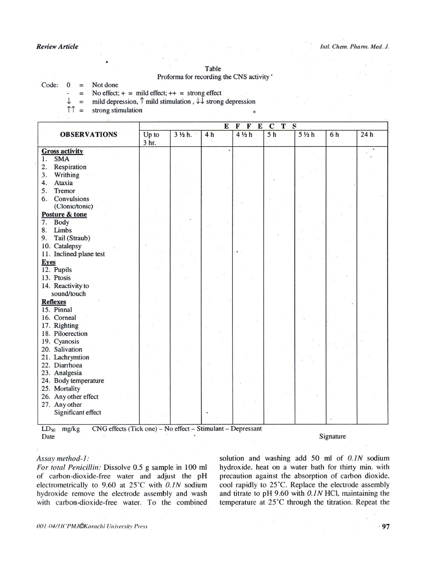#### Table

#### Proforma for recording the CNS activity'

Code:  $\bf{0}$ Not done  $=$ 

T

No effect;  $+$  = mild effect;  $++$  = strong effect  $\equiv$ 

mild depression,  $\uparrow$  mild stimulation,  $\downarrow \downarrow$  strong depression  $=$ 

 $\uparrow \uparrow =$ strong stimulation

 $\bar{\alpha}$ 

|                                                                                | $\mathbf{s}$<br>$\mathbf F$<br>${\bf E}$<br>$\mathbf T$<br>E<br>$\mathbf F$<br>$\mathbf C$ |                   |                |                      |                |                 |           |     |
|--------------------------------------------------------------------------------|--------------------------------------------------------------------------------------------|-------------------|----------------|----------------------|----------------|-----------------|-----------|-----|
| <b>OBSERVATIONS</b>                                                            | Up to                                                                                      | $3\frac{1}{2}h$ . | 4 <sub>h</sub> | $4\frac{1}{2}h$      | 5 <sub>h</sub> | $5\frac{1}{2}h$ | 6h        | 24h |
|                                                                                | 3 <sub>hr.</sub>                                                                           |                   |                |                      |                |                 |           |     |
| <b>Gross activity</b>                                                          |                                                                                            |                   |                |                      |                |                 |           |     |
| <b>SMA</b><br>1.                                                               |                                                                                            |                   |                |                      |                |                 |           |     |
| Respiration<br>2.                                                              |                                                                                            |                   |                |                      |                |                 |           |     |
| Writhing<br>3.                                                                 |                                                                                            |                   |                |                      |                |                 |           |     |
| Ataxia<br>4.                                                                   |                                                                                            |                   |                |                      |                |                 |           |     |
| 5.<br>Tremor                                                                   |                                                                                            |                   |                |                      |                |                 |           |     |
| Convulsions<br>6.                                                              |                                                                                            |                   |                |                      |                |                 |           |     |
| (Clonic/tonic)                                                                 |                                                                                            |                   |                |                      |                |                 |           |     |
| Posture & tone                                                                 |                                                                                            |                   |                |                      |                |                 |           |     |
| 7.<br><b>Body</b>                                                              |                                                                                            |                   |                |                      |                |                 |           |     |
| 8. Limbs                                                                       |                                                                                            |                   |                |                      |                |                 |           |     |
| Tail (Straub)<br>9.                                                            |                                                                                            |                   |                |                      |                |                 |           |     |
| 10. Catalepsy                                                                  |                                                                                            |                   |                |                      |                |                 |           |     |
| 11. Inclined plane test                                                        |                                                                                            |                   |                | $\ddot{\phantom{0}}$ |                |                 |           |     |
| <b>Eyes</b>                                                                    |                                                                                            |                   |                |                      |                |                 |           |     |
| 12. Pupils                                                                     |                                                                                            |                   |                |                      |                |                 |           |     |
| 13. Ptosis                                                                     |                                                                                            |                   |                |                      |                |                 |           |     |
| 14. Reactivity to                                                              |                                                                                            |                   |                |                      |                |                 |           |     |
| sound/touch                                                                    |                                                                                            |                   |                |                      |                |                 |           |     |
| <b>Reflexes</b>                                                                |                                                                                            |                   |                |                      |                |                 |           |     |
| 15. Pinnal                                                                     |                                                                                            |                   |                |                      |                |                 |           |     |
| 16. Corneal                                                                    |                                                                                            |                   |                |                      |                |                 |           |     |
| 17. Righting                                                                   |                                                                                            |                   |                |                      |                |                 |           |     |
| 18. Piloerection                                                               |                                                                                            |                   |                |                      |                |                 |           |     |
| 19. Cyanosis                                                                   |                                                                                            |                   |                |                      |                |                 |           |     |
| 20. Salivation                                                                 |                                                                                            |                   |                |                      |                |                 |           |     |
| 21. Lachrymtion                                                                |                                                                                            |                   |                |                      |                |                 |           |     |
| 22. Diarrhoea                                                                  |                                                                                            |                   |                |                      |                |                 |           |     |
| 23. Analgesia                                                                  |                                                                                            |                   |                |                      |                |                 |           |     |
| 24. Body temperature                                                           |                                                                                            |                   |                |                      |                |                 |           |     |
| 25. Mortality                                                                  |                                                                                            |                   |                |                      |                |                 |           |     |
| 26. Any other effect                                                           |                                                                                            |                   |                |                      |                |                 |           |     |
| 27. Any other                                                                  |                                                                                            |                   |                |                      |                |                 |           |     |
| Significant effect                                                             |                                                                                            |                   |                |                      |                |                 |           |     |
|                                                                                |                                                                                            |                   |                |                      |                |                 |           |     |
| CNG effects (Tick one) - No effect - Stimulant - Depressant<br>$LD_{50}$ mg/kg |                                                                                            |                   |                |                      |                |                 |           |     |
| Date                                                                           |                                                                                            |                   |                |                      |                |                 | Signature |     |

#### Assay method-1:

For total Penicillin: Dissolve 0.5 g sample in 100 ml of carbon-dioxide-free water and adjust the pH electrometrically to 9.60 at  $25^{\circ}$ C with 0.1N sodium hydroxide remove the electrode assembly and wash with carbon-dioxide-free water. To the combined solution and washing add 50 ml of 0.1N sodium hydroxide, heat on a water bath for thirty min. with precaution against the absorption of carbon dioxide, cool rapidly to 25°C. Replace the electrode assembly and titrate to pH 9.60 with  $0.1N$  HCl, maintaining the temperature at 25°C through the titration. Repeat the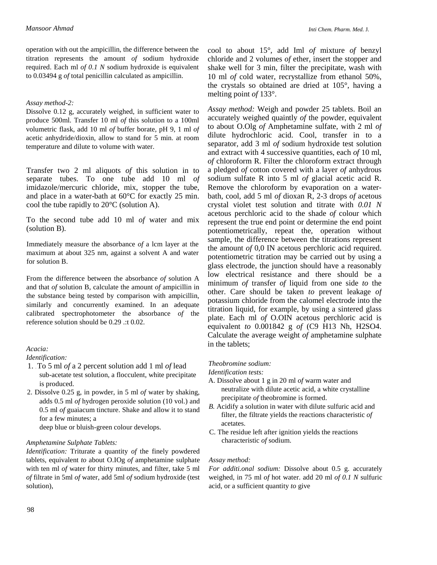operation with out the ampicillin, the difference between the titration represents the amount *of* sodium hydroxide required. Each ml *of 0.1 N* sodium hydroxide is equivalent to 0.03494 g *of* total penicillin calculated as ampicillin.

## *Assay method-2:*

Dissolve 0.12 g, accurately weighed, in sufficient water to produce 500ml. Transfer 10 ml *of* this solution to a 100ml volumetric flask, add 10 ml *of* buffer borate, pH 9, 1 ml *of*  acetic anhydride/dioxin, allow to stand for 5 min. at room temperature and dilute to volume with water.

Transfer two 2 ml aliquots *of* this solution in to separate tubes. To one tube add 10 ml *of*  imidazole/mercuric chloride, mix, stopper the tube, and place in a water-bath at 60°C for exactly 25 min. cool the tube rapidly to 20°C (solution A).

To the second tube add 10 ml *of* water and mix (solution B).

Immediately measure the absorbance *of* a lcm layer at the maximum at about 325 nm, against a solvent A and water for solution B.

From the difference between the absorbance *of* solution A and that *of* solution B, calculate the amount *of* ampicillin in the substance being tested by comparison with ampicillin, similarly and concurrently examined. In an adequate calibrated spectrophotometer the absorbance *of* the reference solution should be 0.29 .:t 0.02.

## *Acacia:*

## *Identification:*

- 1. . To 5 ml *of* a 2 percent solution add 1 ml *of* lead sub-acetate test solution, a flocculent, white precipitate is produced.
- 2. Dissolve 0.25 g, in powder, in 5 ml *of* water by shaking, adds 0.5 ml *of* hydrogen peroxide solution (10 vol.) and 0.5 ml *of* guaiacum tincture. Shake and allow it to stand for a few minutes; a

deep blue or bluish-green colour develops.

## *Amphetamine Sulphate Tablets:*

*Identification:* Triturate a quantity *of* the finely powdered tablets, equivalent *to* about O.IOg *of* amphetamine sulphate with ten ml *of* water for thirty minutes, and filter, take 5 ml *of* filtrate in 5ml *of* water, add 5ml *of* sodium hydroxide (test solution),

cool to about 15°, add Iml *of* mixture *of* benzyl chloride and 2 volumes *of* ether, insert the stopper and shake well for 3 min, filter the precipitate, wash with 10 ml *of* cold water, recrystallize from ethanol 50%, the crystals so obtained are dried at 105°, having a melting point *of* 133°.

*Assay method:* Weigh and powder 25 tablets. Boil an accurately weighed quaintly *of* the powder, equivalent to about O.Olg *of* Amphetamine sulfate, with 2 ml *of*  dilute hydrochloric acid. Cool, transfer in to a separator, add 3 ml *of* sodium hydroxide test solution and extract with 4 successive quantities, each *of* 10 ml, *of* chloroform R. Filter the chloroform extract through a pledged *of* cotton covered with a layer *of* anhydrous sodium sulfate R into 5 ml *of* glacial acetic acid R. Remove the chloroform by evaporation on a waterbath, cool, add 5 ml *of* dioxan R, 2-3 drops *of* acetous crystal violet test solution and titrate with *0.01 N*  acetous perchloric acid to the shade *of* colour which represent the true end point or determine the end point potentiometrically, repeat the, operation without sample, the difference between the titrations represent the amount *of* 0,0 IN acetous perchloric acid required. potentiometric titration may be carried out by using a glass electrode, the junction should have a reasonably low electrical resistance and there should be a minimum *of* transfer *of* liquid from one side *to* the other. Care should be taken *to* prevent leakage *of*  potassium chloride from the calomel electrode into the titration liquid, for example, by using a sintered glass plate. Each ml *of* O.OIN acetous perchloric acid is equivalent *to* 0.001842 g *of* (C9 H13 Nh, H2SO4. Calculate the average weight *of* amphetamine sulphate in the tablets;

# *Theobromine sodium:*

#### *Identification tests:*

- A. Dissolve about 1 g in 20 ml *of* warm water and neutralize with dilute acetic acid, a white crystalline precipitate *of* theobromine is formed.
- *B.* Acidify a solution in water with dilute sulfuric acid and filter, the filtrate yields the reactions characteristic *of*  acetates.
- C. The residue left after ignition yields the reactions characteristic *of* sodium.

## *Assay method:*

*For additi.onal sodium:* Dissolve about 0.5 g. accurately weighed, in 75 ml *of* hot water. add 20 ml *of 0.1 N* sulfuric acid, or a sufficient quantity *to* give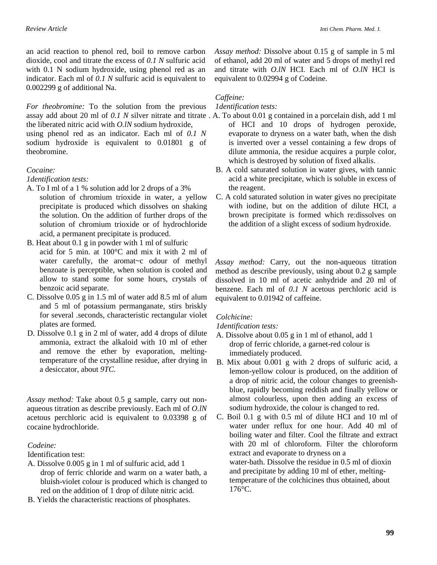an acid reaction to phenol red, boil to remove carbon dioxide, cool and titrate the excess of *0.1 N* sulfuric acid with 0.1 N sodium hydroxide, using phenol red as an indicator. Each ml of *0.1 N* sulfuric acid is equivalent to 0.002299 g of additional Na.

*For theobromine:* To the solution from the previous assay add about 20 ml of *0.1 N* silver nitrate and titrate . A. To about 0.01 g contained in a porcelain dish, add 1 ml the liberated nitric acid with *O.lN* sodium hydroxide,

using phenol red as an indicator. Each ml of *0.1 N*  sodium hydroxide is equivalent to 0.01801 g of theobromine.

## *Cocaine:*

*1dentification tests:* 

- A. To I ml of a 1 % solution add lor 2 drops of a 3% solution of chromium trioxide in water, a yellow precipitate is produced which dissolves on shaking the solution. On the addition of further drops of the solution of chromium trioxide or of hydrochloride acid, a permanent precipitate is produced.
- B. Heat about 0.1 g in powder with 1 ml of sulfuric acid for 5 min. at 100°C and mix it with 2 ml of water carefully, the aromat~c odour of methyl benzoate is perceptible, when solution is cooled and allow to stand some for some hours, crystals of benzoic acid separate.
- C. Dissolve 0.05 g in 1.5 ml of water add 8.5 ml of alum and 5 ml of potassium permanganate, stirs briskly for several .seconds, characteristic rectangular violet plates are formed.
- D. Dissolve 0.1 g in 2 ml of water, add 4 drops of dilute ammonia, extract the alkaloid with 10 ml of ether and remove the ether by evaporation, meltingtemperature of the crystalline residue, after drying in a desiccator, about *9TC.*

*Assay method:* Take about 0.5 g sample, carry out nonaqueous titration as describe previously. Each ml of *O.lN*  acetous perchloric acid is equivalent to 0.03398 g of cocaine hydrochloride.

# *Codeine:*

Identification test:

- A. Dissolve 0.005 g in 1 ml of sulfuric acid, add 1 drop of ferric chloride and warm on a water bath, a bluish-violet colour is produced which is changed to red on the addition of 1 drop of dilute nitric acid.
- B. Yields the characteristic reactions of phosphates.

*Assay method:* Dissolve about 0.15 g of sample in 5 ml of ethanol, add 20 ml of water and 5 drops of methyl red and titrate with *O.lN* HCI. Each ml of *O.lN* HCI is equivalent to 0.02994 g of Codeine.

# *Caffeine:*

# *1dentification tests:*

- of HCI and 10 drops of hydrogen peroxide, evaporate to dryness on a water bath, when the dish is inverted over a vessel containing a few drops of dilute ammonia, the residue acquires a purple color, which is destroyed by solution of fixed alkalis. .
- B. A cold saturated solution in water gives, with tannic acid a white precipitate, which is soluble in excess of the reagent.
- C. A cold saturated solution in water gives no precipitate with iodine, but on the addition of dilute HCI, a brown precipitate is formed which re:dissolves on the addition of a slight excess of sodium hydroxide.

*Assay method:* Carry, out the non-aqueous titration method as describe previously, using about 0.2 g sample dissolved in 10 ml of acetic anhydride and 20 ml of benzene. Each ml of *0.1 N* acetous perchloric acid is equivalent to 0.01942 of caffeine.

# *Colchicine:*

*1dentification tests:* 

- A. Dissolve about 0.05 g in 1 ml of ethanol, add 1 drop of ferric chloride, a garnet-red colour is immediately produced.
- B. Mix about 0.001 g with 2 drops of sulfuric acid, a lemon-yellow colour is produced, on the addition of a drop of nitric acid, the colour changes to greenishblue, rapidly becoming reddish and finally yellow or almost colourless, upon then adding an excess of sodium hydroxide, the colour is changed to red.

C. Boil 0.1 g with 0.5 ml of dilute HCI and 10 ml of water under reflux for one hour. Add 40 ml of boiling water and filter. Cool the filtrate and extract with 20 ml of chloroform. Filter the chloroform extract and evaporate to dryness on a water-bath. Dissolve the residue in 0.5 ml of dioxin and precipitate by adding 10 ml of ether, meltingtemperature of the colchicines thus obtained, about 176°C.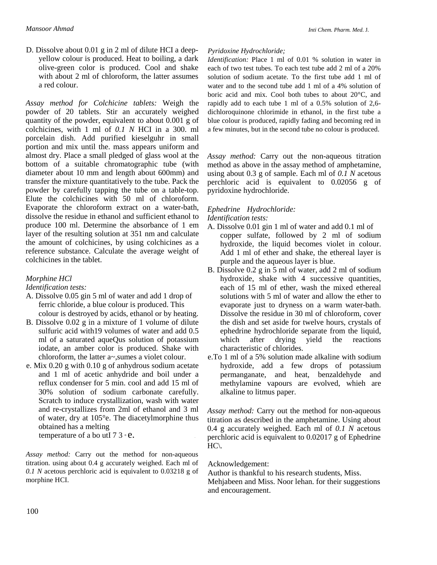D. Dissolve about 0.01 g in 2 ml of dilute HCI a deepyellow colour is produced. Heat to boiling, a dark olive-green color is produced. Cool and shake with about 2 ml of chloroform, the latter assumes a red colour.

*Assay method for Colchicine tablets:* Weigh the powder of 20 tablets. Stir an accurately weighed quantity of the powder, equivalent to about 0.001 g of colchicines, with 1 ml of *0.1 N* HCI in a 300. ml porcelain dish. Add purified kieselguhr in small portion and mix until the. mass appears uniform and almost dry. Place a small pledged of glass wool at the bottom of a suitable chromatographic tube (with diameter about 10 mm and length about 600mm) and transfer the mixture quantitatively to the tube. Pack the powder by carefully tapping the tube on a table-top. Elute the colchicines with 50 ml of chloroform. Evaporate the chloroform extract on a water-bath, dissolve the residue in ethanol and sufficient ethanol to produce 100 ml. Determine the absorbance of 1 em layer of the resulting solution at 351 nm and calculate the amount of colchicines, by using colchicines as a reference substance. Calculate the average weight of colchicines in the tablet.

# *Morphine HCl*

*Identification tests:*

- A. Dissolve 0.05 gin 5 ml of water and add 1 drop of ferric chloride, a blue colour is produced. This colour is destroyed by acids, ethanol or by heating.
- B. Dissolve 0.02 g in a mixture of 1 volume of dilute sulfuric acid with19 volumes of water and add 0.5 ml of a saturated aqueQus solution of potassium iodate, an amber color is produced. Shake with chloroform, the latter a~,sumes a violet colour.
- e. Mix 0.20 g with 0.10 g of anhydrous sodium acetate and 1 ml of acetic anhydride and boil under a reflux condenser for 5 min. cool and add 15 ml of 30% solution of sodium carbonate carefully. Scratch to induce crystallization, wash with water and re-crystallizes from 2ml of ethanol and 3 ml of water, dry at 105°e. The diacetylmorphine thus obtained has a melting temperature of a bo util  $73 \text{ }^{\circ}$ e.

*Assay method:* Carry out the method for non-aqueous titration. using about 0.4 g accurately weighed. Each ml of *0.1 N* acetous perchloric acid is equivalent to 0.03218 g of morphine HCI.

#### *Pyridoxine Hydrochloride;*

*Identification:* Place 1 ml of 0.01 % solution in water in each of two test tubes. To each test tube add 2 ml of a 20% solution of sodium acetate. To the first tube add 1 ml of water and to the second tube add 1 ml of a 4% solution of boric acid and mix. Cool both tubes to about 20°C, and rapidly add to each tube 1 ml of a 0.5% solution of 2,6 dichloroquinone chlorimide in ethanol, in the first tube a blue colour is produced, rapidly fading and becoming red in a few minutes, but in the second tube no colour is produced.

*Assay method:* Carry out the non-aqueous titration method as above in the assay method of amphetamine, using about 0.3 g of sample. Each ml of *0.1 N* acetous perchloric acid is equivalent to 0.02056 g of pyridoxine hydrochloride.

#### *Ephedrine Hydrochloride: Identification tests:*

- A. Dissolve 0.01 gin 1 ml of water and add 0.1 ml of copper sulfate, followed by 2 ml of sodium hydroxide, the liquid becomes violet in colour. Add 1 ml of ether and shake, the ethereal layer is purple and the aqueous layer is blue.
- B. Dissolve 0.2 g in 5 ml of water, add 2 ml of sodium hydroxide, shake with 4 successive quantities, each of 15 ml of ether, wash the mixed ethereal solutions with 5 ml of water and allow the ether to evaporate just to dryness on a warm water-bath. Dissolve the residue in 30 ml of chloroform, cover the dish and set aside for twelve hours, crystals of ephedrine hydrochloride separate from the liquid, which after drying yield the reactions characteristic of chlorides.
- e.To 1 ml of a 5% solution made alkaline with sodium hydroxide, add a few drops of potassium permanganate, and heat, benzaldehyde and methylamine vapours are evolved, whieh are alkaline to litmus paper.

*Assay method:* Carry out the method for non-aqueous titration as described in the amphetamine. Using about 0.4 g accurately weighed. Each ml of *0.1 N* acetous perchloric acid is equivalent to 0.02017 g of Ephedrine  $HC \setminus$ .

#### Acknowledgement:

Author is thankful to his research students, Miss.

Mehjabeen and Miss. Noor lehan. for their suggestions and encouragement.